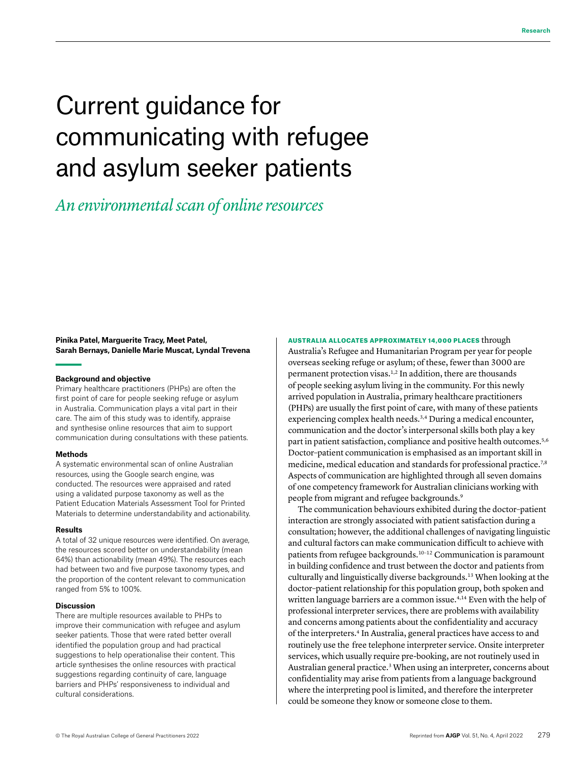# Current guidance for communicating with refugee and asylum seeker patients

# *An environmental scan of online resources*

# **Pinika Patel, Marguerite Tracy, Meet Patel, Sarah Bernays, Danielle Marie Muscat, Lyndal Trevena**

#### **Background and objective**

Primary healthcare practitioners (PHPs) are often the first point of care for people seeking refuge or asylum in Australia. Communication plays a vital part in their care. The aim of this study was to identify, appraise and synthesise online resources that aim to support communication during consultations with these patients.

#### **Methods**

A systematic environmental scan of online Australian resources, using the Google search engine, was conducted. The resources were appraised and rated using a validated purpose taxonomy as well as the Patient Education Materials Assessment Tool for Printed Materials to determine understandability and actionability.

#### **Results**

A total of 32 unique resources were identified. On average, the resources scored better on understandability (mean 64%) than actionability (mean 49%). The resources each had between two and five purpose taxonomy types, and the proportion of the content relevant to communication ranged from 5% to 100%.

#### **Discussion**

There are multiple resources available to PHPs to improve their communication with refugee and asylum seeker patients. Those that were rated better overall identified the population group and had practical suggestions to help operationalise their content. This article synthesises the online resources with practical suggestions regarding continuity of care, language barriers and PHPs' responsiveness to individual and cultural considerations.

#### AUSTRALIA ALLOCATES APPROXIMATELY 14,000 PLACES through

Australia's Refugee and Humanitarian Program per year for people overseas seeking refuge or asylum; of these, fewer than 3000 are permanent protection visas.<sup>1,2</sup> In addition, there are thousands of people seeking asylum living in the community. For this newly arrived population in Australia, primary healthcare practitioners (PHPs) are usually the first point of care, with many of these patients experiencing complex health needs.<sup>3,4</sup> During a medical encounter, communication and the doctor's interpersonal skills both play a key part in patient satisfaction, compliance and positive health outcomes.<sup>5,6</sup> Doctor–patient communication is emphasised as an important skill in medicine, medical education and standards for professional practice.<sup>7,8</sup> Aspects of communication are highlighted through all seven domains of one competency framework for Australian clinicians working with people from migrant and refugee backgrounds.<sup>9</sup>

The communication behaviours exhibited during the doctor–patient interaction are strongly associated with patient satisfaction during a consultation; however, the additional challenges of navigating linguistic and cultural factors can make communication difficult to achieve with patients from refugee backgrounds.<sup>10-12</sup> Communication is paramount in building confidence and trust between the doctor and patients from culturally and linguistically diverse backgrounds.13 When looking at the doctor–patient relationship for this population group, both spoken and written language barriers are a common issue.<sup>4,14</sup> Even with the help of professional interpreter services, there are problems with availability and concerns among patients about the confidentiality and accuracy of the interpreters.<sup>4</sup> In Australia, general practices have access to and routinely use the free telephone interpreter service. Onsite interpreter services, which usually require pre-booking, are not routinely used in Australian general practice.<sup>3</sup> When using an interpreter, concerns about confidentiality may arise from patients from a language background where the interpreting pool is limited, and therefore the interpreter could be someone they know or someone close to them.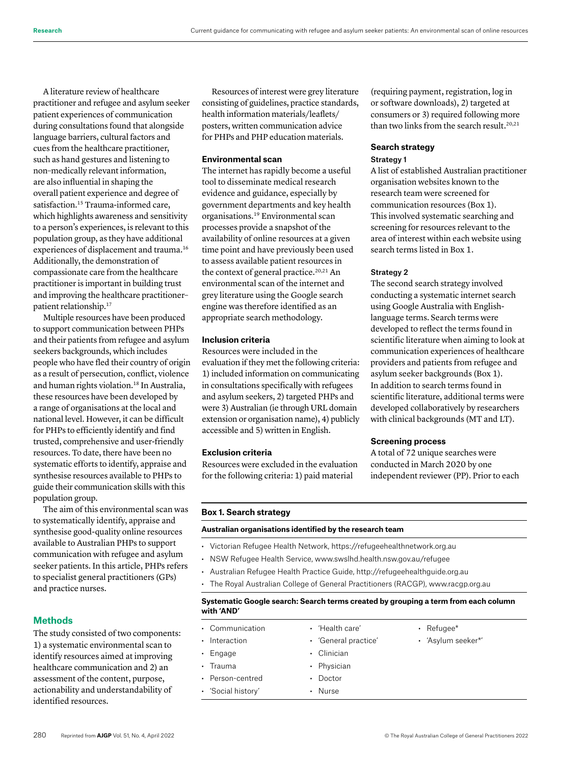A literature review of healthcare practitioner and refugee and asylum seeker patient experiences of communication during consultations found that alongside language barriers, cultural factors and cues from the healthcare practitioner, such as hand gestures and listening to non–medically relevant information, are also influential in shaping the overall patient experience and degree of satisfaction.<sup>15</sup> Trauma-informed care, which highlights awareness and sensitivity to a person's experiences, is relevant to this population group, as they have additional experiences of displacement and trauma.<sup>16</sup> Additionally, the demonstration of compassionate care from the healthcare practitioner is important in building trust and improving the healthcare practitioner– patient relationship.<sup>17</sup>

Multiple resources have been produced to support communication between PHPs and their patients from refugee and asylum seekers backgrounds, which includes people who have fled their country of origin as a result of persecution, conflict, violence and human rights violation.<sup>18</sup> In Australia, these resources have been developed by a range of organisations at the local and national level. However, it can be difficult for PHPs to efficiently identify and find trusted, comprehensive and user-friendly resources. To date, there have been no systematic efforts to identify, appraise and synthesise resources available to PHPs to guide their communication skills with this population group.

The aim of this environmental scan was to systematically identify, appraise and synthesise good-quality online resources available to Australian PHPs to support communication with refugee and asylum seeker patients. In this article, PHPs refers to specialist general practitioners (GPs) and practice nurses.

# **Methods**

The study consisted of two components: 1) a systematic environmental scan to identify resources aimed at improving healthcare communication and 2) an assessment of the content, purpose, actionability and understandability of identified resources.

Resources of interest were grey literature consisting of guidelines, practice standards, health information materials/leaflets/ posters, written communication advice for PHPs and PHP education materials.

# **Environmental scan**

The internet has rapidly become a useful tool to disseminate medical research evidence and guidance, especially by government departments and key health organisations.19 Environmental scan processes provide a snapshot of the availability of online resources at a given time point and have previously been used to assess available patient resources in the context of general practice.<sup>20,21</sup> An environmental scan of the internet and grey literature using the Google search engine was therefore identified as an appropriate search methodology.

# **Inclusion criteria**

Resources were included in the evaluation if they met the following criteria: 1) included information on communicating in consultations specifically with refugees and asylum seekers, 2) targeted PHPs and were 3) Australian (ie through URL domain extension or organisation name), 4) publicly accessible and 5) written in English.

# **Exclusion criteria**

Resources were excluded in the evaluation for the following criteria: 1) paid material

(requiring payment, registration, log in or software downloads), 2) targeted at consumers or 3) required following more than two links from the search result.<sup>20,21</sup>

# **Search strategy** Strategy 1

A list of established Australian practitioner organisation websites known to the research team were screened for communication resources (Box 1). This involved systematic searching and screening for resources relevant to the area of interest within each website using search terms listed in Box 1.

### Strategy 2

The second search strategy involved conducting a systematic internet search using Google Australia with Englishlanguage terms. Search terms were developed to reflect the terms found in scientific literature when aiming to look at communication experiences of healthcare providers and patients from refugee and asylum seeker backgrounds (Box 1). In addition to search terms found in scientific literature, additional terms were developed collaboratively by researchers with clinical backgrounds (MT and LT).

#### **Screening process**

A total of 72 unique searches were conducted in March 2020 by one independent reviewer (PP). Prior to each

#### **Box 1. Search strategy**

# **Australian organisations identified by the research team**

- Victorian Refugee Health Network, <https://refugeehealthnetwork.org.au>
- NSW Refugee Health Service, [www.swslhd.health.nsw.gov.au/refugee](http://www.swslhd.health.nsw.gov.au/refugee)
- Australian Refugee Health Practice Guide,<http://refugeehealthguide.org.au>
- The Royal Australian College of General Practitioners (RACGP), [www.racgp.org.au](http://www.racgp.org.au)

# **Systematic Google search: Search terms created by grouping a term from each column with 'AND'**

| • Communication          | • 'Health care'      | • Refugee*         |
|--------------------------|----------------------|--------------------|
| Interaction<br>$\bullet$ | • 'General practice' | · 'Asylum seeker*' |
| Engage<br>$\bullet$      | • Clinician          |                    |
| $\cdot$ Trauma           | • Physician          |                    |
| • Person-centred         | Doctor<br>$\bullet$  |                    |
| • 'Social history'       | Nurse<br>$\bullet$   |                    |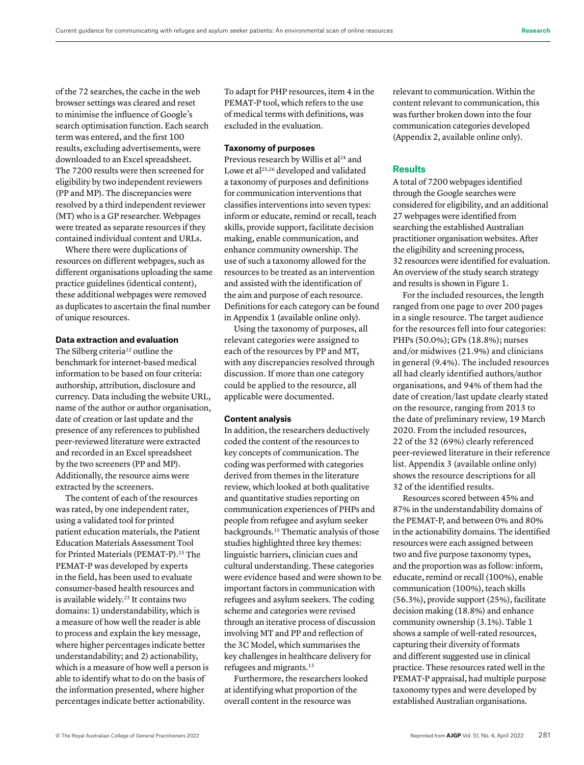of the 72 searches, the cache in the web browser settings was cleared and reset to minimise the influence of Google's search optimisation function. Each search term was entered, and the first 100 results, excluding advertisements, were downloaded to an Excel spreadsheet. The 7200 results were then screened for eligibility by two independent reviewers (PP and MP). The discrepancies were resolved by a third independent reviewer (MT) who is a GP researcher. Webpages were treated as separate resources if they contained individual content and URLs.

Where there were duplications of resources on different webpages, such as different organisations uploading the same practice guidelines (identical content), these additional webpages were removed as duplicates to ascertain the final number of unique resources.

# **Data extraction and evaluation**

The Silberg criteria<sup>22</sup> outline the benchmark for internet-based medical information to be based on four criteria: authorship, attribution, disclosure and currency. Data including the website URL, name of the author or author organisation, date of creation or last update and the presence of any references to published peer-reviewed literature were extracted and recorded in an Excel spreadsheet by the two screeners (PP and MP). Additionally, the resource aims were extracted by the screeners.

The content of each of the resources was rated, by one independent rater, using a validated tool for printed patient education materials, the Patient Education Materials Assessment Tool for Printed Materials (PEMAT-P).<sup>23</sup> The PEMAT-P was developed by experts in the field, has been used to evaluate consumer-based health resources and is available widely.<sup>23</sup> It contains two domains: 1) understandability, which is a measure of how well the reader is able to process and explain the key message, where higher percentages indicate better understandability; and 2) actionability, which is a measure of how well a person is able to identify what to do on the basis of the information presented, where higher percentages indicate better actionability.

To adapt for PHP resources, item 4 in the PEMAT-P tool, which refers to the use of medical terms with definitions, was excluded in the evaluation.

# **Taxonomy of purposes**

Previous research by Willis et al<sup>24</sup> and Lowe et al<sup>25,26</sup> developed and validated a taxonomy of purposes and definitions for communication interventions that classifies interventions into seven types: inform or educate, remind or recall, teach skills, provide support, facilitate decision making, enable communication, and enhance community ownership. The use of such a taxonomy allowed for the resources to be treated as an intervention and assisted with the identification of the aim and purpose of each resource. Definitions for each category can be found in Appendix 1 (available online only).

Using the taxonomy of purposes, all relevant categories were assigned to each of the resources by PP and MT, with any discrepancies resolved through discussion. If more than one category could be applied to the resource, all applicable were documented.

#### **Content analysis**

In addition, the researchers deductively coded the content of the resources to key concepts of communication. The coding was performed with categories derived from themes in the literature review, which looked at both qualitative and quantitative studies reporting on communication experiences of PHPs and people from refugee and asylum seeker backgrounds.15 Thematic analysis of those studies highlighted three key themes: linguistic barriers, clinician cues and cultural understanding. These categories were evidence based and were shown to be important factors in communication with refugees and asylum seekers. The coding scheme and categories were revised through an iterative process of discussion involving MT and PP and reflection of the 3C Model, which summarises the key challenges in healthcare delivery for refugees and migrants.<sup>13</sup>

Furthermore, the researchers looked at identifying what proportion of the overall content in the resource was

relevant to communication. Within the content relevant to communication, this was further broken down into the four communication categories developed (Appendix 2, available online only).

# **Results**

A total of 7200 webpages identified through the Google searches were considered for eligibility, and an additional 27 webpages were identified from searching the established Australian practitioner organisation websites. After the eligibility and screening process, 32 resources were identified for evaluation. An overview of the study search strategy and results is shown in Figure 1.

For the included resources, the length ranged from one page to over 200 pages in a single resource. The target audience for the resources fell into four categories: PHPs (50.0%); GPs (18.8%); nurses and/or midwives (21.9%) and clinicians in general (9.4%). The included resources all had clearly identified authors/author organisations, and 94% of them had the date of creation/last update clearly stated on the resource, ranging from 2013 to the date of preliminary review, 19 March 2020. From the included resources, 22 of the 32 (69%) clearly referenced peer-reviewed literature in their reference list. Appendix 3 (available online only) shows the resource descriptions for all 32 of the identified results.

Resources scored between 45% and 87% in the understandability domains of the PEMAT-P, and between 0% and 80% in the actionability domains. The identified resources were each assigned between two and five purpose taxonomy types, and the proportion was as follow: inform, educate, remind or recall (100%), enable communication (100%), teach skills (56.3%), provide support (25%), facilitate decision making (18.8%) and enhance community ownership (3.1%). Table 1 shows a sample of well-rated resources, capturing their diversity of formats and different suggested use in clinical practice. These resources rated well in the PEMAT-P appraisal, had multiple purpose taxonomy types and were developed by established Australian organisations.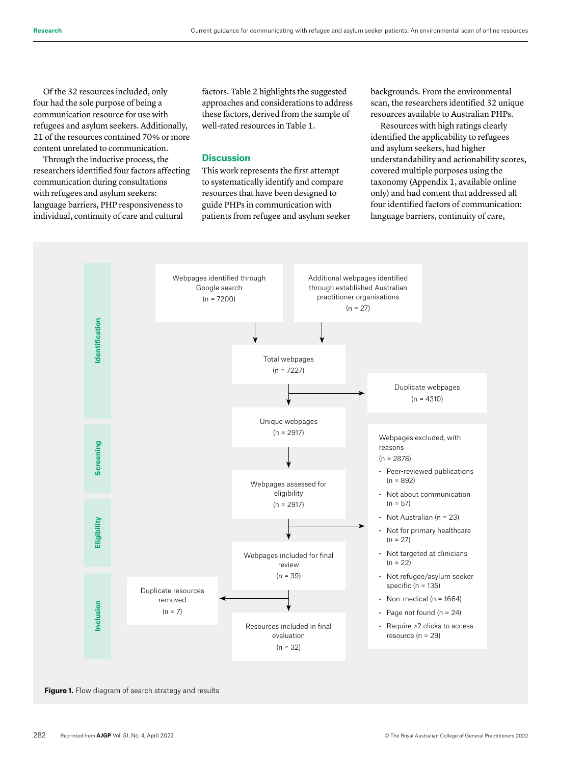Of the 32 resources included, only four had the sole purpose of being a communication resource for use with refugees and asylum seekers. Additionally, 21 of the resources contained 70% or more content unrelated to communication.

Through the inductive process, the researchers identified four factors affecting communication during consultations with refugees and asylum seekers: language barriers, PHP responsiveness to individual, continuity of care and cultural

factors. Table 2 highlights the suggested approaches and considerations to address these factors, derived from the sample of well-rated resources in Table 1.

# **Discussion**

This work represents the first attempt to systematically identify and compare resources that have been designed to guide PHPs in communication with patients from refugee and asylum seeker backgrounds. From the environmental scan, the researchers identified 32 unique resources available to Australian PHPs.

Resources with high ratings clearly identified the applicability to refugees and asylum seekers, had higher understandability and actionability scores, covered multiple purposes using the taxonomy (Appendix 1, available online only) and had content that addressed all four identified factors of communication: language barriers, continuity of care,



**Figure 1.** Flow diagram of search strategy and results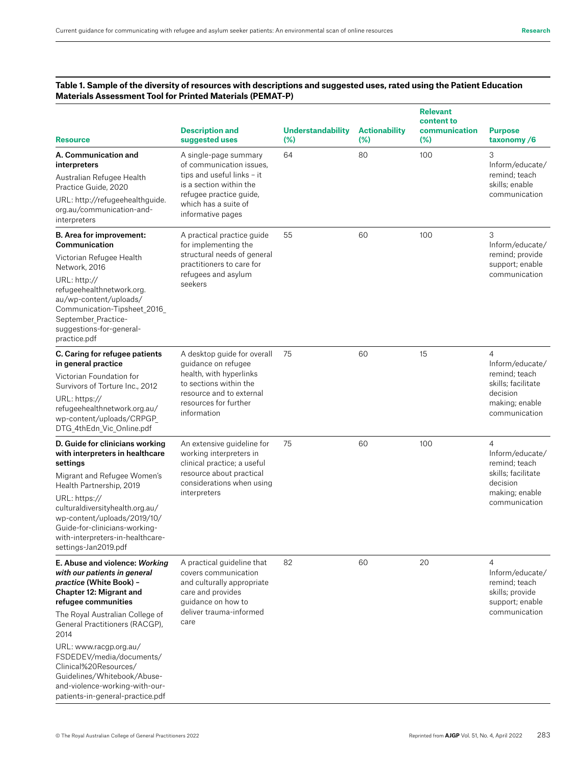# **Table 1. Sample of the diversity of resources with descriptions and suggested uses, rated using the Patient Education Materials Assessment Tool for Printed Materials (PEMAT-P)**

| <b>Resource</b>                                                                                                                                                                                                                                                                                                                                                                                              | <b>Description and</b><br>suggested uses                                                                                                                                           | <b>Understandability</b><br>(%) | <b>Actionability</b><br>(%) | <b>Relevant</b><br>content to<br>communication<br>(%) | <b>Purpose</b><br>taxonomy/6                                                                                            |
|--------------------------------------------------------------------------------------------------------------------------------------------------------------------------------------------------------------------------------------------------------------------------------------------------------------------------------------------------------------------------------------------------------------|------------------------------------------------------------------------------------------------------------------------------------------------------------------------------------|---------------------------------|-----------------------------|-------------------------------------------------------|-------------------------------------------------------------------------------------------------------------------------|
| A. Communication and<br>interpreters<br>Australian Refugee Health<br>Practice Guide, 2020<br>URL: http://refugeehealthguide.<br>org.au/communication-and-<br>interpreters                                                                                                                                                                                                                                    | A single-page summary<br>of communication issues.<br>tips and useful links - it<br>is a section within the<br>refugee practice guide,<br>which has a suite of<br>informative pages | 64                              | 80                          | 100                                                   | 3<br>Inform/educate/<br>remind; teach<br>skills; enable<br>communication                                                |
| <b>B.</b> Area for improvement:<br>Communication<br>Victorian Refugee Health<br>Network, 2016<br>URL: http://<br>refugeehealthnetwork.org.<br>au/wp-content/uploads/<br>Communication-Tipsheet_2016_<br>September_Practice-<br>suggestions-for-general-<br>practice.pdf                                                                                                                                      | A practical practice guide<br>for implementing the<br>structural needs of general<br>practitioners to care for<br>refugees and asylum<br>seekers                                   | 55                              | 60                          | 100                                                   | 3<br>Inform/educate/<br>remind; provide<br>support; enable<br>communication                                             |
| C. Caring for refugee patients<br>in general practice<br>Victorian Foundation for<br>Survivors of Torture Inc., 2012<br>URL: https://<br>refugeehealthnetwork.org.au/<br>wp-content/uploads/CRPGP_<br>DTG_4thEdn_Vic_Online.pdf                                                                                                                                                                              | A desktop guide for overall<br>guidance on refugee<br>health, with hyperlinks<br>to sections within the<br>resource and to external<br>resources for further<br>information        | 75                              | 60                          | 15                                                    | 4<br>Inform/educate/<br>remind: teach<br>skills; facilitate<br>decision<br>making; enable<br>communication              |
| D. Guide for clinicians working<br>with interpreters in healthcare<br>settings<br>Migrant and Refugee Women's<br>Health Partnership, 2019<br>URL: https://<br>culturaldiversityhealth.org.au/<br>wp-content/uploads/2019/10/<br>Guide-for-clinicians-working-<br>with-interpreters-in-healthcare-<br>settings-Jan2019.pdf                                                                                    | An extensive guideline for<br>working interpreters in<br>clinical practice; a useful<br>resource about practical<br>considerations when using<br>interpreters                      | 75                              | 60                          | 100                                                   | $\overline{4}$<br>Inform/educate/<br>remind; teach<br>skills; facilitate<br>decision<br>making; enable<br>communication |
| E. Abuse and violence: Working<br>with our patients in general<br>practice (White Book) -<br>Chapter 12: Migrant and<br>refugee communities<br>The Royal Australian College of<br>General Practitioners (RACGP),<br>2014<br>URL: www.racgp.org.au/<br>FSDEDEV/media/documents/<br>Clinical%20Resources/<br>Guidelines/Whitebook/Abuse-<br>and-violence-working-with-our-<br>patients-in-general-practice.pdf | A practical guideline that<br>covers communication<br>and culturally appropriate<br>care and provides<br>quidance on how to<br>deliver trauma-informed<br>care                     | 82                              | 60                          | 20                                                    | 4<br>Inform/educate/<br>remind: teach<br>skills; provide<br>support; enable<br>communication                            |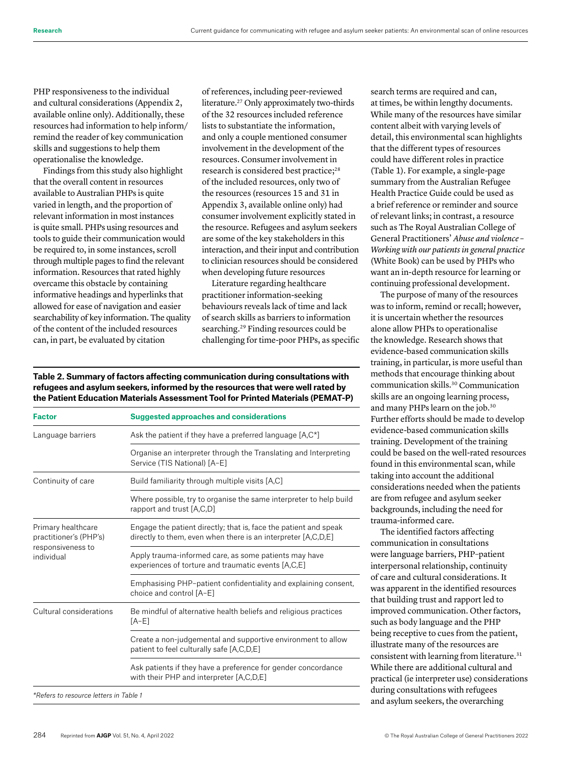PHP responsiveness to the individual and cultural considerations (Appendix 2, available online only). Additionally, these resources had information to help inform/ remind the reader of key communication skills and suggestions to help them operationalise the knowledge.

Findings from this study also highlight that the overall content in resources available to Australian PHPs is quite varied in length, and the proportion of relevant information in most instances is quite small. PHPs using resources and tools to guide their communication would be required to, in some instances, scroll through multiple pages to find the relevant information. Resources that rated highly overcame this obstacle by containing informative headings and hyperlinks that allowed for ease of navigation and easier searchability of key information. The quality of the content of the included resources can, in part, be evaluated by citation

of references, including peer-reviewed literature.27 Only approximately two-thirds of the 32 resources included reference lists to substantiate the information, and only a couple mentioned consumer involvement in the development of the resources. Consumer involvement in research is considered best practice;<sup>28</sup> of the included resources, only two of the resources (resources 15 and 31 in Appendix 3, available online only) had consumer involvement explicitly stated in the resource. Refugees and asylum seekers are some of the key stakeholders in this interaction, and their input and contribution to clinician resources should be considered when developing future resources

Literature regarding healthcare practitioner information-seeking behaviours reveals lack of time and lack of search skills as barriers to information searching.29 Finding resources could be challenging for time-poor PHPs, as specific

**Table 2. Summary of factors affecting communication during consultations with refugees and asylum seekers, informed by the resources that were well rated by the Patient Education Materials Assessment Tool for Printed Materials (PEMAT-P)**

| <b>Factor</b>                                                                   | <b>Suggested approaches and considerations</b>                                                                                    |  |  |  |
|---------------------------------------------------------------------------------|-----------------------------------------------------------------------------------------------------------------------------------|--|--|--|
| Language barriers                                                               | Ask the patient if they have a preferred language $[A,C^*]$                                                                       |  |  |  |
|                                                                                 | Organise an interpreter through the Translating and Interpreting<br>Service (TIS National) [A-E]                                  |  |  |  |
| Continuity of care                                                              | Build familiarity through multiple visits [A,C]                                                                                   |  |  |  |
|                                                                                 | Where possible, try to organise the same interpreter to help build<br>rapport and trust [A,C,D]                                   |  |  |  |
| Primary healthcare<br>practitioner's (PHP's)<br>responsiveness to<br>individual | Engage the patient directly; that is, face the patient and speak<br>directly to them, even when there is an interpreter [A,C,D,E] |  |  |  |
|                                                                                 | Apply trauma-informed care, as some patients may have<br>experiences of torture and traumatic events [A,C,E]                      |  |  |  |
|                                                                                 | Emphasising PHP-patient confidentiality and explaining consent,<br>choice and control [A-E]                                       |  |  |  |
| Cultural considerations                                                         | Be mindful of alternative health beliefs and religious practices<br>[A-E]                                                         |  |  |  |
|                                                                                 | Create a non-judgemental and supportive environment to allow<br>patient to feel culturally safe [A,C,D,E]                         |  |  |  |
|                                                                                 | Ask patients if they have a preference for gender concordance<br>with their PHP and interpreter [A,C,D,E]                         |  |  |  |
| *Refers to resource letters in Table 1                                          |                                                                                                                                   |  |  |  |

search terms are required and can, at times, be within lengthy documents. While many of the resources have similar content albeit with varying levels of detail, this environmental scan highlights that the different types of resources could have different roles in practice (Table 1). For example, a single-page summary from the Australian Refugee Health Practice Guide could be used as a brief reference or reminder and source of relevant links; in contrast, a resource such as The Royal Australian College of General Practitioners' *Abuse and violence – Working with our patients in general practice*  (White Book) can be used by PHPs who want an in-depth resource for learning or continuing professional development.

The purpose of many of the resources was to inform, remind or recall; however, it is uncertain whether the resources alone allow PHPs to operationalise the knowledge. Research shows that evidence-based communication skills training, in particular, is more useful than methods that encourage thinking about communication skills.30 Communication skills are an ongoing learning process, and many PHPs learn on the job.30 Further efforts should be made to develop evidence-based communication skills training. Development of the training could be based on the well-rated resources found in this environmental scan, while taking into account the additional considerations needed when the patients are from refugee and asylum seeker backgrounds, including the need for trauma-informed care.

The identified factors affecting communication in consultations were language barriers, PHP–patient interpersonal relationship, continuity of care and cultural considerations. It was apparent in the identified resources that building trust and rapport led to improved communication. Other factors, such as body language and the PHP being receptive to cues from the patient, illustrate many of the resources are consistent with learning from literature.<sup>31</sup> While there are additional cultural and practical (ie interpreter use) considerations during consultations with refugees and asylum seekers, the overarching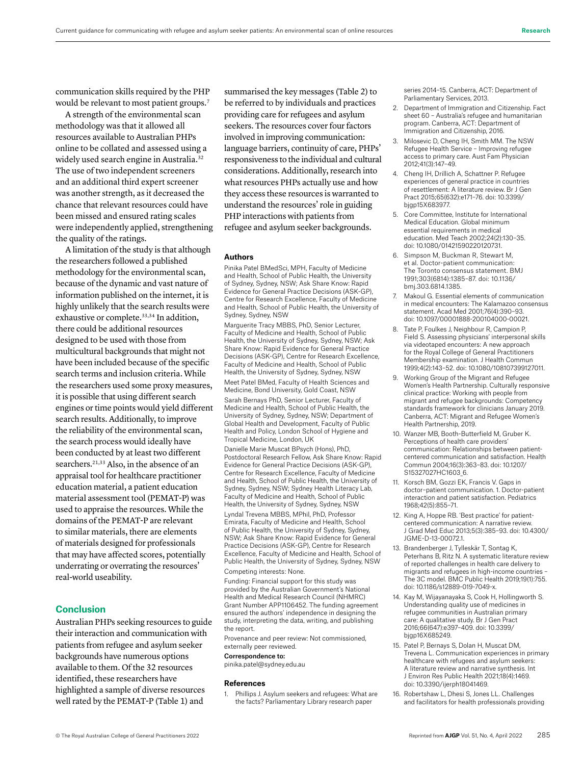communication skills required by the PHP would be relevant to most patient groups.<sup>7</sup>

A strength of the environmental scan methodology was that it allowed all resources available to Australian PHPs online to be collated and assessed using a widely used search engine in Australia.<sup>32</sup> The use of two independent screeners and an additional third expert screener was another strength, as it decreased the chance that relevant resources could have been missed and ensured rating scales were independently applied, strengthening the quality of the ratings.

A limitation of the study is that although the researchers followed a published methodology for the environmental scan, because of the dynamic and vast nature of information published on the internet, it is highly unlikely that the search results were exhaustive or complete.<sup>33,34</sup> In addition, there could be additional resources designed to be used with those from multicultural backgrounds that might not have been included because of the specific search terms and inclusion criteria. While the researchers used some proxy measures, it is possible that using different search engines or time points would yield different search results. Additionally, to improve the reliability of the environmental scan, the search process would ideally have been conducted by at least two different searchers.<sup>21,33</sup> Also, in the absence of an appraisal tool for healthcare practitioner education material, a patient education material assessment tool (PEMAT-P) was used to appraise the resources. While the domains of the PEMAT-P are relevant to similar materials, there are elements of materials designed for professionals that may have affected scores, potentially underrating or overrating the resources' real-world useability.

# **Conclusion**

Australian PHPs seeking resources to guide their interaction and communication with patients from refugee and asylum seeker backgrounds have numerous options available to them. Of the 32 resources identified, these researchers have highlighted a sample of diverse resources well rated by the PEMAT-P (Table 1) and

summarised the key messages (Table 2) to be referred to by individuals and practices providing care for refugees and asylum seekers. The resources cover four factors involved in improving communication: language barriers, continuity of care, PHPs' responsiveness to the individual and cultural considerations. Additionally, research into what resources PHPs actually use and how they access these resources is warranted to understand the resources' role in guiding PHP interactions with patients from refugee and asylum seeker backgrounds.

#### **Authors**

Pinika Patel BMedSci, MPH, Faculty of Medicine and Health, School of Public Health, the University of Sydney, Sydney, NSW; Ask Share Know: Rapid Evidence for General Practice Decisions (ASK-GP), Centre for Research Excellence, Faculty of Medicine and Health, School of Public Health, the University of Sydney, Sydney, NSW

Marguerite Tracy MBBS, PhD, Senior Lecturer, Faculty of Medicine and Health, School of Public Health, the University of Sydney, Sydney, NSW; Ask Share Know: Rapid Evidence for General Practice Decisions (ASK-GP), Centre for Research Excellence, Faculty of Medicine and Health, School of Public Health, the University of Sydney, Sydney, NSW

Meet Patel BMed, Faculty of Health Sciences and Medicine, Bond University, Gold Coast, NSW Sarah Bernays PhD, Senior Lecturer, Faculty of Medicine and Health, School of Public Health, the University of Sydney, Sydney, NSW; Department of Global Health and Development, Faculty of Public Health and Policy, London School of Hygiene and Tropical Medicine, London, UK

Danielle Marie Muscat BPsych (Hons), PhD, Postdoctoral Research Fellow, Ask Share Know: Rapid Evidence for General Practice Decisions (ASK-GP), Centre for Research Excellence, Faculty of Medicine and Health, School of Public Health, the University of Sydney, Sydney, NSW; Sydney Health Literacy Lab, Faculty of Medicine and Health, School of Public Health, the University of Sydney, Sydney, NSW

Lyndal Trevena MBBS, MPhil, PhD, Professor Emirata, Faculty of Medicine and Health, School of Public Health, the University of Sydney, Sydney, NSW; Ask Share Know: Rapid Evidence for General Practice Decisions (ASK-GP), Centre for Research Excellence, Faculty of Medicine and Health, School of Public Health, the University of Sydney, Sydney, NSW Competing interests: None.

Funding: Financial support for this study was provided by the Australian Government's National Health and Medical Research Council (NHMRC) Grant Number APP1106452. The funding agreement ensured the authors' independence in designing the study, interpreting the data, writing, and publishing the report.

Provenance and peer review: Not commissioned, externally peer reviewed.

Correspondence to:

pinika.patel@sydney.edu.au

#### **References**

1. Phillips J. Asylum seekers and refugees: What are the facts? Parliamentary Library research paper

series 2014–15. Canberra, ACT: Department of Parliamentary Services, 2013.

- 2. Department of Immigration and Citizenship. Fact sheet 60 – Australia's refugee and humanitarian program. Canberra, ACT: Department of Immigration and Citizenship, 2016.
- 3. Milosevic D, Cheng IH, Smith MM. The NSW Refugee Health Service – Improving refugee access to primary care. Aust Fam Physician 2012;41(3):147–49.
- 4. Cheng IH, Drillich A, Schattner P. Refugee experiences of general practice in countries of resettlement: A literature review. Br J Gen Pract 2015;65(632):e171–76. doi: 10.3399/ bjgp15X683977.
- 5. Core Committee, Institute for International Medical Education. Global minimum essential requirements in medical education. Med Teach 2002;24(2):130–35. doi: 10.1080/01421590220120731.
- 6. Simpson M, Buckman R, Stewart M, et al. Doctor-patient communication: The Toronto consensus statement. BMJ 1991;303(6814):1385–87. doi: 10.1136/ bmj.303.6814.1385.
- 7. Makoul G. Essential elements of communication in medical encounters: The Kalamazoo consensus statement. Acad Med 2001;76(4):390–93. doi: 10.1097/00001888-200104000-00021.
- 8. Tate P, Foulkes J, Neighbour R, Campion P, Field S. Assessing physicians' interpersonal skills via videotaped encounters: A new approach for the Royal College of General Practitioners Membership examination. J Health Commun 1999;4(2):143–52. doi: 10.1080/108107399127011.
- 9. Working Group of the Migrant and Refugee Women's Health Partnership. Culturally responsive clinical practice: Working with people from migrant and refugee backgrounds: Competency standards framework for clinicians January 2019. Canberra, ACT: Migrant and Refugee Women's Health Partnership, 2019.
- 10. Wanzer MB, Booth-Butterfield M, Gruber K. Perceptions of health care providers' communication: Relationships between patientcentered communication and satisfaction. Health Commun 2004;16(3):363–83. doi: 10.1207/ S15327027HC1603\_6.
- 11. Korsch BM, Gozzi EK, Francis V. Gaps in doctor–patient communication. 1. Doctor-patient interaction and patient satisfaction. Pediatrics 1968;42(5):855–71.
- 12. King A, Hoppe RB. 'Best practice' for patientcentered communication: A narrative review. J Grad Med Educ 2013;5(3):385–93. doi: 10.4300/ JGME-D-13-00072.1.
- 13. Brandenberger J, Tylleskär T, Sontag K, Peterhans B, Ritz N. A systematic literature review of reported challenges in health care delivery to migrants and refugees in high-income countries – The 3C model. BMC Public Health 2019;19(1):755. doi: 10.1186/s12889-019-7049-x.
- 14. Kay M, Wijayanayaka S, Cook H, Hollingworth S. Understanding quality use of medicines in refugee communities in Australian primary care: A qualitative study. Br J Gen Pract 2016;66(647):e397–409. doi: 10.3399/ bjgp16X685249.
- 15. Patel P, Bernays S, Dolan H, Muscat DM, Trevena L. Communication experiences in primary healthcare with refugees and asylum seekers: A literature review and narrative synthesis. Int J Environ Res Public Health 2021;18(4):1469. doi: 10.3390/ijerph18041469.
- 16. Robertshaw L, Dhesi S, Jones LL. Challenges and facilitators for health professionals providing